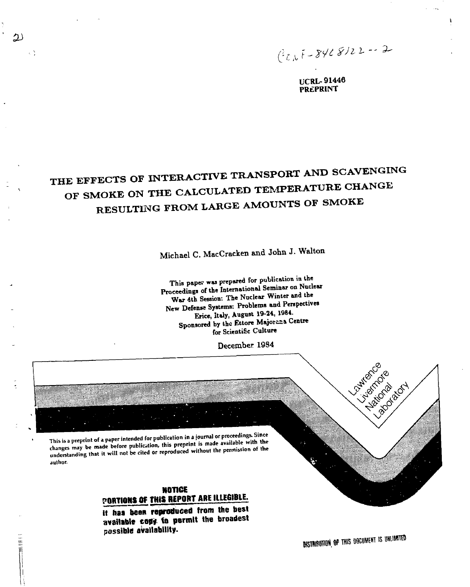*(i^f.^yJit* **2-**

١

**UCRL- 91446 PREPRINT** 

# **THE EFFECTS OF INTERACTIVE TRANSPORT AND SCAVENGING OF SMOKE ON THE CALCULATED TEMPERATURE CHANGE RESULTING FROM LARGE AMOUNTS OF SMOKE**

 $\mathfrak{D}$ 

三部門

κŅ

Michael C. MacCracken and John J. Walton

This paper was prepared for publication in the **Proceeding, of the International Seminar on Nuclear War 4th Session: The Nuclear Winter and the**  New Defense Systems: Problems and Perspectives **Erice, Italy, August 19-24, 1984.**  Sponsored by the Ettore Majorana Centre **for Scientific Culture** 

December 1984



**NOTICE POBTIONS Of THIS HEPOBT ABE ILLEGIBLE.** 

**it has been reproduced from the best**  available copy to permit the broadest **possible availability.** 

**DISTRIBUTION OF THIS DOCUMENT IS UNLIMITED**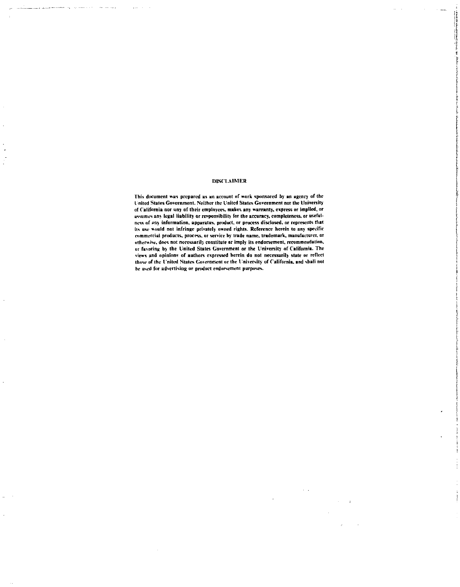#### **DISCLAIMER**

the first state and the state of the state of the state of the state of the state of the state of the state of<br>In the first state of the state of the state of the state of the state of the state of the state of the state

**This document was prepared as an account nf work sponsored by an agency of the Inited States Government. Ncilher (he United States Government nor the University of California nor uny of their employees, makes any warranty, express or implied, or**  assumes any legal liability or responsibility for the accuracy, completeness, or useful**ness of uny information, apparatus, product, or process disclosed, or represents that**  its use would not infringe privately owned rights. Reference herein to any specific **commercial products, process, or service hy trade name, trademark, manufacturer, or**  otherwise, does not necessarily constitute or imply its endorsement, recommendation, **or favoring by the United Stales Government or the University nf California. The views and opinions of authors expressed herein do not necessarily state or reflect those nf the I'niteil Slates Government or the University of California, and shall not be used for advertising or product endorsement purposes.**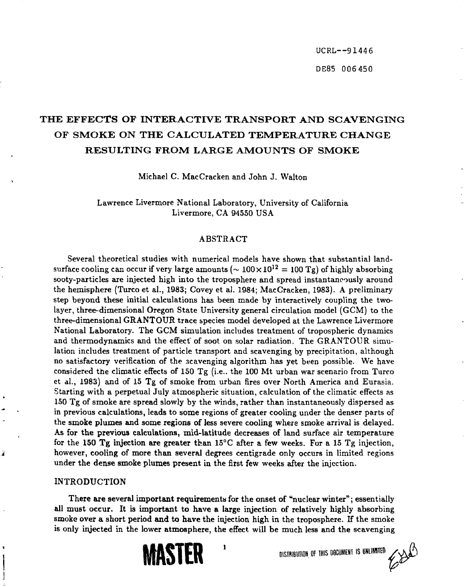UCRL--91446 DE85 006 450

# **T HE EFFECTS OF INTERACTIV E TRANSPOR T AN D SCAVENGIN G OF SMOK E ON TH E CALCULATE D TEMPERATUR E CHANG E RESULTING FROM LARGE AMOUNTS OF SMOKE**

Michael C. MacCracken and John J. Walton

Lawrence Livermore National Laboratory, University of California Livermore, CA 94550 USA

### ABSTRACT

Several theoretical studies with numerical models have shown that substantial landsurface cooling can occur if very large amounts ( $\sim 100 \times 10^{12} = 100 \text{ Tg}$ ) of highly absorbing sooty-particles are injected high into the troposphere and spread instantaneously around the hemisphere (Turco et al., **1983;** Covey et al. 1984; MacCracken, 1983). A preliminary step beyond these initial calculations has been made by interactively coupling the twolayer, three-dimensional Oregon State University general circulation model (GCM) to the three-dimensional **GRANTOUR** trace species model developed at the Lawrence Livermore National Laboratory. The GCM simulation includes treatment of tropospheric dynamics and thermodynamics and the effect" of soot on solar radiation. The GRANTOUR simulation includes treatment of particle transport and scavenging by precipitation, although no satisfactory verification of the scavenging algorithm has yet been possible. We have considered the climatic effects of 150 Tg (i.e.. the 100 Mt urban war scenario from Turco et al., 1983) and of 15 Tg of smoke from urban fires over North America and Eurasia. Starting with a perpetual July atmospheric situation, calculation of the climatic effects as 150 Tg of smoke are spread slowly by the winds, rather than instantaneously dispersed as in previous calculations, leads to some regions of greater cooling under the denser parts of **the smoke plumes and some regions of** less severe cooling where smoke arrival is delayed. **As for the previous calculations, mid-latitude decreases of land** surface air temperature **for the 150 Tg injection are greater** than 15°C after **a** few weeks. For a 15 Tg injection, **however, cooling of more than several** degrees centigrade only occurs in limited regions **under the dense smoke plumes present** in the **first few** weeks after the injection.

#### **INTRODUCTION**

ā

**There are several important requirements for the onset of "nuclear winter"**; essentially **all must occur. It is important to have a large injection of relatively highly absorbing smoke over a short period and to have** the injection **high** in the troposphere. If the smoke is **only injected in the lower atmosphere,** the effect **will be** much less and the scavenging

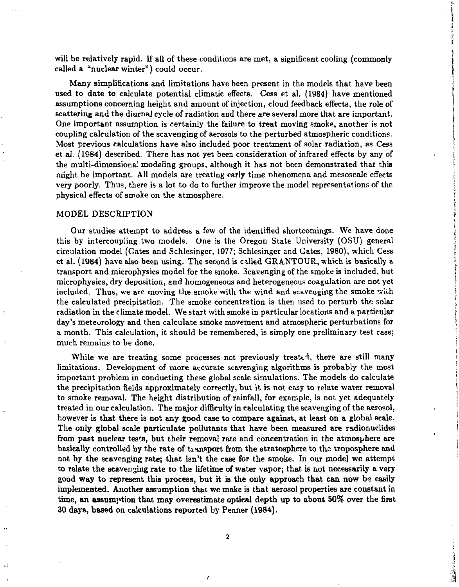will be relatively rapid. If all of these conditions are met, a significant cooling (commonly called a "nuclear winter") could occur.

Many simplifications and limitations have been present in the models that have been used to date to calculate potential climatic effects. Cess et al. (1984) have mentioned assumptions concerning height and amount of injection, cloud feedback effects, the role of scattering and the diurnal cycle of radiation and there are several more that are important. One important assumption is certainly the failure to treat moving smoke, another is not coupling calculation of the scavenging of aerosols to the perturbed atmospheric conditions. Most previous calculations have also included poor treatment of solar radiation, as Cess et al. (1984) described. There has not yet been consideration of infrared effects by any of the multi-dimensional modeling groups, although it has not been demonstrated that this might be important. All models are treating early time nhenomena and mesoscale effects very poorly. Thus, there is a lot to do to further improve the model representations of the physical effects of smoke on the atmosphere.

#### MODEL DESCRIPTION

Our studies attempt to address a few of the identified shortcomings. We have done this by intercoupling two models. One is the Oregon State University (OSU) general circulation model (Gates and Schlesinger, 1977; Schlesinger and Gates, 1980), which Cess et al. (1984) have also been using. The second is called GRANTOUR, which is basically a transport and microphysics model for the smoke. Scavenging of the smoke is included, but microphysics, dry deposition, and homogeneous and heterogeneous coagulation are not yet included. Thus, we are moving the smoke with the wind and scavenging the smoke with the calculated precipitation. The smoke concentration is then used to perturb the- solar radiation in the climate model. We start with smoke in particular locations and a particular day's meteorology and then calculate smoke movement and atmospheric perturbations for a month. This calculation, it should be remembered, is simply one preliminary test case; much remains to be done.

While we are treating some processes not previously treated, there are still many limitations. Development of more accurate scavenging algorithms is probably the most important problem in conducting these global scale simulations. The models do calculate the precipitation fields approximately correctly, but it is not easy to relate water removal to smoke removal. The height distribution of rainfall, for example, is not yet adequately treated in our calculation. The major difficulty in calculating the scavenging of the aerosol, however is that there is not any good case to compare against, at least on a global scale. The only global scale particulate pollutants that have been measured are radionuclides from past nuclear tests, but their removal rate and concentration in the atmosphere are basically controlled by the rate of transport from the stratosphere to the troposphere and not by the scavenging rate; that isn't the case for the smoke. In our model we attempt to relate the scavenging rate to the lifetime of water vapor; that is not necessarily a very good way to represent this process, but it is the only approach that can now be easily implemented. Another assumption that we make is that aerosol properties are constant in time, an assumption that may overestimate optical depth up to about 50% over the first 30 days, based on calculations reported by Penner (1984).

and in the set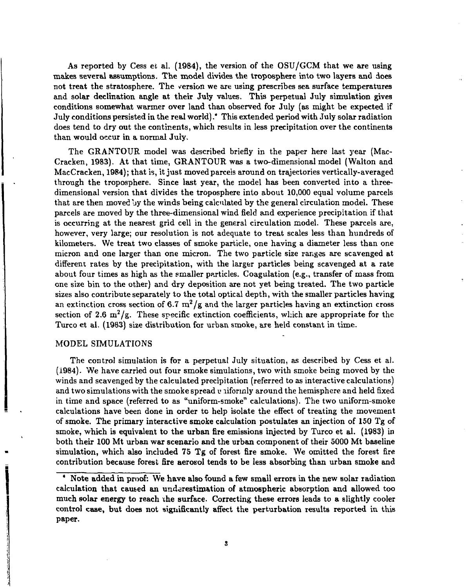As reported by Cess et al. (1984), the version of the OSU/GCM that we are using makes several assumptions. The model divides the troposphere into two layers and does not treat the stratosphere. The version we are using prescribes sea surface temperatures and solar declination angle at their July values. This perpetual July simulation gives conditions somewhat warmer over land than observed for July (as might be expected if July conditions persisted in the real world) .\* This extended period with July solar radiation does tend to dry out the continents, which results in less precipitation over the continents than would occur in a normal July.

The GRANTOUR model was described briefly in the paper here last year (Mac-Cracken, 1983). At that time, GRANTOUR was a two-dimensional model (Walton and MacCracken, 1984); that is, it just moved parcels around on trajectories vertically-averaged through the troposphere. Since last year, the model has been converted into a threedimensional version that divides the troposphere into about 10,000 equal volume parcels that are then moved by the winds being calculated by the general circulation model. These parcels are moved by the three-dimensional wind field and experience precipitation if that is occurring at the nearest grid cell in the general circulation model. These parcels are, however, very large; our resolution is not adequate to treat scales less than hundreds of kilometers. We treat two classes of smoke particle, one having a diameter less than one micron and one larger than one micron. The two particle size ranges are scavenged at different rates by the precipitation, with the larger particles being scavenged at a rate about four times as high as the smaller particles. Coagulation (e.g., transfer of mass from one size bin to the other) and dry deposition are not yet being treated. The two particle sizes also contribute separately to the total optical depth, with the smaller particles having an extinction cross section of 6.7  $m^2/g$  and the larger particles having an extinction cross section of 2.6  $m^2/g$ . These specific extinction coefficients, which are appropriate for the Turco et al. (1983) size distribution for urban smoke, are held constant in time.

## MODEL SIMULATIONS

The control simulation is for a perpetual July situation, as described by Cess et al. (1984). We have carried out four smoke simulations, two with smoke being moved by the winds and scavenged by the calculated precipitation (referred to as interactive calculations) and two simulations with the smoke spread **v** niformly around the hemisphere and held fixed in time and space (referred to as "uniform-smoke" calculations). The two uniform-smoke calculations have been done in order to help isolate the effect of treating the movement of smoke. The primary interactive smoke calculation postulates an injection of 150 Tg of smoke, which is equivalent to the urban fire emissions injected by Turco et al. (1983) in both their 100 Mt urban war scenario and the urban component of their 5000 Mt baseline simulation, which also included 75 Tg of forest fire smoke. We omitted the forest fire contribution because forest fire aerosol tends to be less absorbing than urban smoke and

<sup>\*</sup> Note added in proof: We have also found a few small errors in the new solar radiation calculation that caused an underestimation of atmospheric absorption and allowed too much solar energy to reach the surface. Correcting these errors leads to a slightly cooler control case, but does not significantly affect the perturbation results reported in this paper.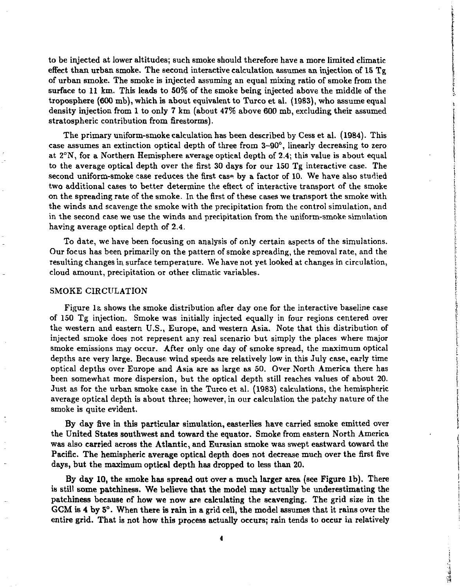to be injected at lower altitudes; such smoke should therefore have a more limited climatic effect than urban smoke. The second interactive calculation assumes an injection of 15 Tg of urban smoke. The smoke is injected assuming an equal mixing ratio of smoke from the surface to 11 km. This leads to 50% of the smoke being injected above the middle of the troposphere (600 mb), which is about equivalent to Turco et al. (1983), who assume equal density injection from 1 to only 7 km (about 47% above 600 mb, excluding their assumed stratospheric contribution from firestorms).

The primary uniform-smoke calculation has been described by Cess et al. (1984). This case assumes an extinction optical depth of three from 3-90°, linearly decreasing to zero at 2°N, for a Northern Hemisphere average optical depth of 2.4; this value is about equal to the average optical depth over the first 30 days for our 150 Tg interactive case. The second uniform-smoke case reduces the first cas». by a factor of 10. We have also studied two additional cases to better determine the effect of interactive transport of the smoke on the spreading rate of the smoke. In the first of these cases we transport the smoke with the winds and scavenge the smoke with the precipitation from the control simulation, and in the second case we use the winds and precipitation from the uniform-smoke simulation having average optical depth of 2.4.

To date, we have been focusing on analysis of only certain aspects of the simulations. Our focus has been primarily on the pattern of smoke spreading, the removal rate, and the resulting changes in surface temperature. We have not yet looked at changes in circulation, cloud amount, precipitation or other climatic variables.

#### SMOKE CIRCULATION

Figure la shows the smoke distribution after day one for the interactive baseline case of 150 Tg injection. Smoke was initially injected equally in four regions centered over the western and eastern U.S., Europe, and western Asia. Note that this distribution of injected smoke does not represent any real scenario but simply the places where major smoke emissions may occur. After only one day of smoke spread, the maximum optical depths are very large. Because wind speeds are relatively low in this July case, early time optical depths over Europe and Asia are as large as 50. Over North America there has been somewhat more dispersion, but the optical depth still reaches values of about 20. Just as for the urban smoke case in the Turco et al. (1983) calculations, the hemispheric average optical depth is about three; however, in our calculation the patchy nature of the smoke is quite evident.

By day five in this particular simulation, easterlies have carried smoke emitted over the United States southwest and toward the equator. Smoke from eastern North America was also carried across the Atlantic, and Eurasian smoke was swept eastward toward the Pacific. The hemispheric average optical depth does not decrease much over the first five days, but the maximum optical depth has dropped to less than 20.

By day 10, the smoke has spread out over a much larger area (see Figure lb). There is still some patchiness. We believe that the model may actually be underestimating the patchiness because of how we now are calculating the scavenging. The grid size in the GCM is 4 by 5°. When there *is* rain in a grid cell, the model assumes that it rains over the entire grid. That is not how this process actually occurs; rain tends to occur in relatively

**The Count Comment**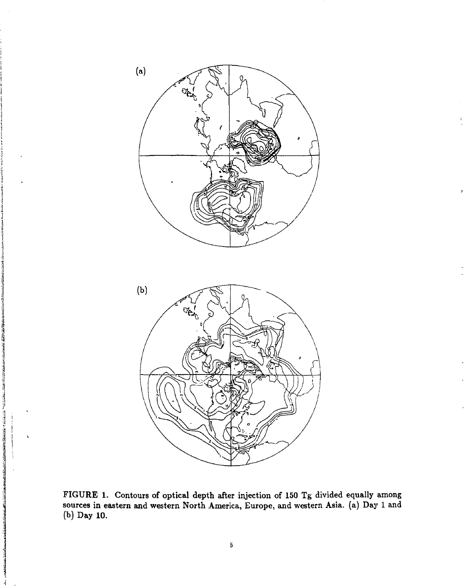

FIGURE 1. Contours of optical depth after injection of 150 Tg divided equally among sources in eastern and western North America, Europe, and western Asia, (a) Day 1 and (b) Day 10.

<u>entropolition en de la propriété de la propriété de la propriété de la propriété de la propriété de la proprié</u>

 $\overline{4}$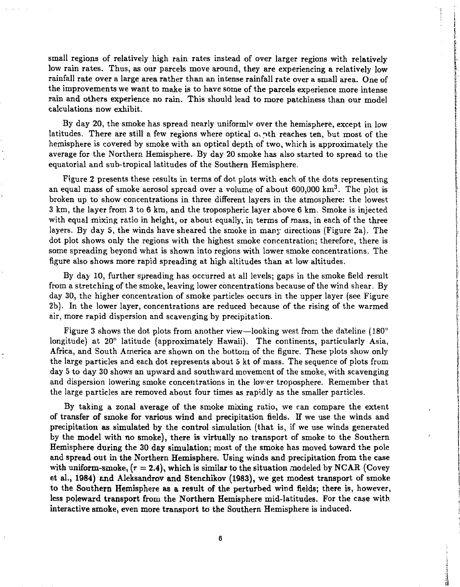small regions of relatively high rain rates instead of over larger regions with relatively low rain rates. Thus, as our parcels move around, they are experiencing a relatively low rainfall rate over a large area rather than an intense rainfall rate over a small area. One of the improvements we want to make is to have some of the parcels experience more intense rain and others experience no rain. This should lead to more patchiness than **our** model calculations now exhibit.

By day 20, the smoke has spread nearly uniformlv over the hemisphere, except in low latitudes. There are still a few regions where optical  $a<sub>c</sub>$  oth reaches ten, but most of the hemisphere is covered by smoke with an optical depth of two, which is approximately the average for the Northern Hemisphere. By day 20 smoke has also started to spread to the equatorial and sub-tropical latitudes of the Southern Hemisphere.

Figure 2 presents these results in terms of dot plots with each of the dots representing an equal mass of smoke aerosol spread over a volume of about 600,000 km $^3. \,$  The plot is broken up to show concentrations in three different layers in the atmosphere: the lowest 3 km, the layer from 3 to 6 km, and the tropospheric layer above 6 km. Smoke is injected with equal mixing ratio in height, or about equally, in terms of mass, in each of the three layers. By day 5, the winds have sheared the smoke in many directions (Figure 2a). The dot plot shows only the regions with the highest smoke concentration; therefore, there is some spreading beyond what is shown into regions with lower smoke concentrations. The figure also shows more rapid spreading at high altitudes than at low altitudes.

By day 10, further spreading has occurred at all levels; gaps in the smoke field result from a stretching of the smoke, leaving lower concentrations because of the wind shear. By day 30, the higher concentration of smoke particles occurs in the upper layer (see Figure 2b). In the lower layer, concentrations are reduced because of the rising of the warmed air, more rapid dispersion and scavenging by precipitation.

Figure 3 shows the dot plots from another view—looking west from the dateline (180° longitude) at 20° latitude (approximately Hawaii). The continents, particularly Asia, Africa, and South America are shown on the bottom of the figure. These plots show only the large particles and each dot represents about 5 kt of mass. The sequence of plots from day 5 to day 30 shows an upward and southward movement of the smoke, with scavenging and dispersion lowering smoke concentrations in the lover troposphere. Remember that the large particles are removed about four times as rapidly as the smaller particles.

By taking a zonal average of **the** smoke mixing ratio, we can compare the extent **of transfer of smoke for various wind and precipitation** fields. **If** we use the winds and **precipitation as simulated by the control** simulation (that is, if we use winds generated by the **model** with **no** smoke), **there** is **virtually no** transport of smoke to the Southern **Hemisphere during the 30 day simulation;** most of **the** smoke has moved toward the pole **and spread out in the Northern Hemisphere. Using winds and precipitation from** the case with uniform-smoke,  $(r = 2.4)$ , which is similar to the situation modeled by NCAR (Covey et al., 1984) and Aleksandrov and Stenchikov (1983), we get modest transport of smoke **to the Southern Hemisphere as a result of the perturbed wind fields; there** is, however, less **poleward transport from the Northern** Hemisphere mid-latitudes. **For** the case with **interactive smoke, even more transport to the Southern Hemisphere is induced.** 

**Republican de la composition**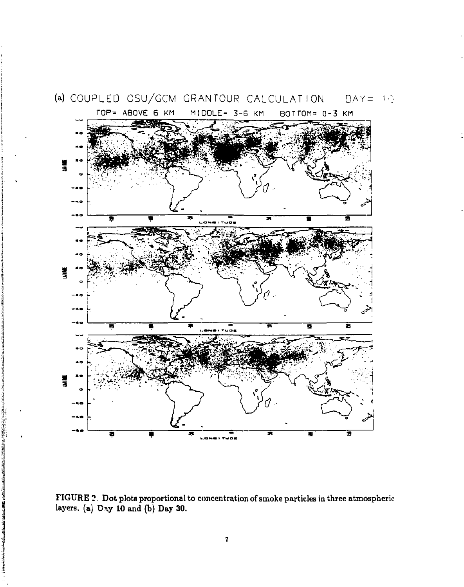

FIGURE 2. Dot plots proportional to concentration of smoke particles in three atmospheric layers. (a)  $\text{Day } 10$  and (b) Day 30.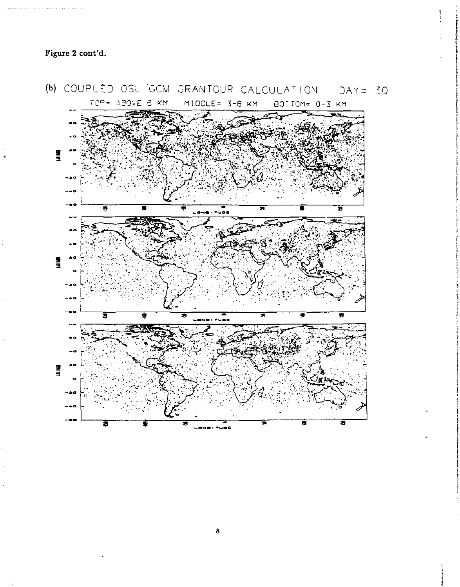

**1**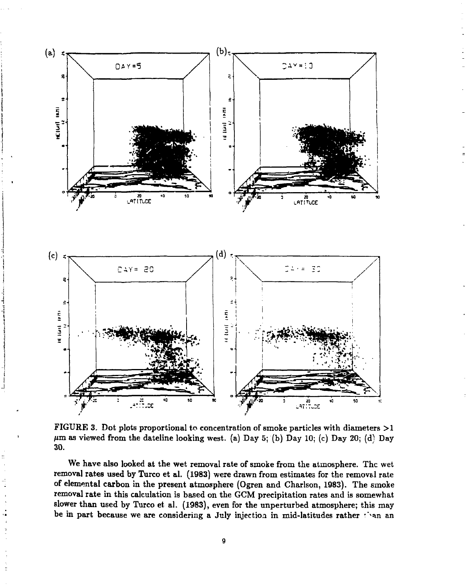

FIGURE 3. Dot plots proportional to concentration of smoke particles with diameters  $>1$ *Hm* as viewed from the dateline looking west, (a) Day 5; (b) Day 10; (c) Day 20; (d^ Day 30.

We have also looked at the wet removal rate of smoke from the atmosphere. The wet removal rates used by Turco et al. (1983) were drawn from estimates for the removal rate of elemental carbon in the present atmosphere (Ogren and Charlson, 1983). The smoke removal rate in this calculation is based on the GCM precipitation rates and is somewhat slower than used by Turco et al. (1983), even for the unperturbed atmosphere; this may be in part because we are considering a July injection in mid-latitudes rather Than an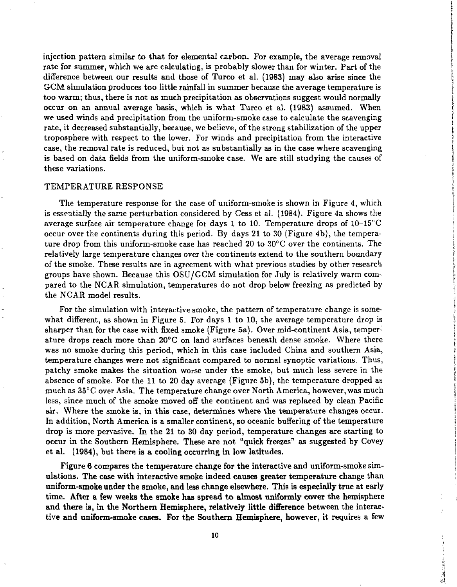injection pattern similar to that for elemental carbon. For example, the average removal rate for summer, which we are calculating, is probably slower than for winter. Part of the difference between our results and those of Turco et al. (1983) may also arise since the GCM simulation produces too little rainfall in summer because the average temperature is too warm; thus, there is not as much precipitation as observations suggest would normally occur on an annual average basis, which is what Turco et al. (1983) assumed. When we used winds and precipitation from the uniform-smoke case to calculate the scavenging rate, it decreased substantially, because, we believe, of the strong stabilization of the upper troposphere with respect to the lower. For winds and precipitation from the interactive case, the removal rate is reduced, but not as substantially as in the case where scavenging is based on data fields from the uniform-smoke case. We are still studying the causes of these variations.

#### TEMPERATURE RESPONSE

The temperature response for the case of uniform-smoke is shown in Figure 4, which is essentially the same perturbation considered by Cess et al. (1984). Figure 4a shows the average surface air temperature change for days 1 to 10. Temperature drops of 10-15°C occur over the continents during this period. By days 21 to 30 (Figure 4b), the temperature drop from this uniform-smoke case has reached 20 to 30°C over the continents. The relatively large temperature changes over the continents extend to the southern boundary of the smoke. These results are in agreement with what previous studies by other research groups have shown. Because this OSU/GCM simulation for July is relatively warm compared to the NCAR simulation, temperatures do not drop below freezing as predicted by the NCAR model results.

For the simulation with interactive smoke, the pattern of temperature change is somewhat different, as shown in Figure 5. For days 1 to 10, the average temperature drop is sharper than for the case with fixed smoke (Figure 5a). Over mid-continent Asia, temperature drops reach more than 20° C on land surfaces beneath dense smoke. Where there was no smoke during this period, which in this case included China and southern Asia, temperature changes were not significant compared to normal synoptic variations. Thus, patchy smoke makes the situation worse under the smoke, but much less severe in the absence of smoke. For the 11 to 20 day average (Figure 5b), the temperature dropped as much as 35° C over Asia. The temperature change over North America, however, was much less, since much of the smoke moved off the continent and was replaced by clean Pacific air. Where the smoke is, **in** this case, determines where the temperature changes occur. In addition, North America **is a** smaller continent, **so** oceanic buffering of the temperature drop is more pervasive. In the 21 to 30 day period, temperature changes are starting to occur in the Southern Hemisphere. These are not "quick freezes" as suggested by Covey et **al. (1984),** but **there is a cooling occurring in low latitudes.** 

**Figure 6 compares the temperature change for the interactive and uniform-smoke simulations. The case with interactive smoke indeed causes greater temperature change than uniform-smoke under the smoke, and** less **change elsewhere. This is especially true at** early **time. After a few weeks the smoke has spread to almost uniformly cover the hemisphere and there is, in the Northern Hemisphere, relatively little difference between the interactive and uniform-smoke cases. For the Southern Hemisphere, however, it requires** a few

**The Committee of the Committee of Section**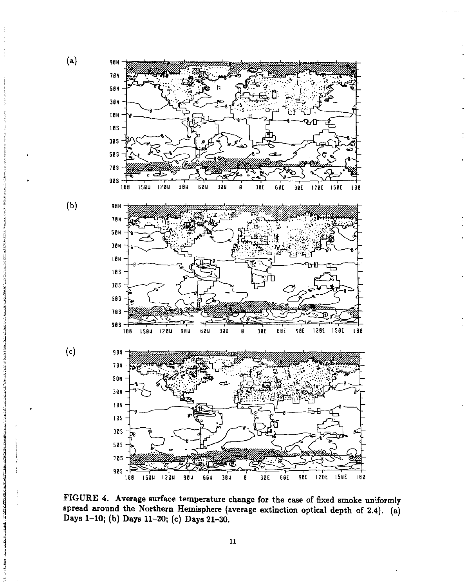

statement of the state of the statement of the statement of the

**THE REAL PROPERTY AND REAL PROPERTY** 

مالكا استقادهما الروائط مربع

FIGURE 4. Average surface temperature change for the case of fixed smoke uniformly spread around the Northern Hemisphere (average extinction optical depth of 2.4). (a) Days 1-10; (b) Days 11-20; (c) Days 21-30.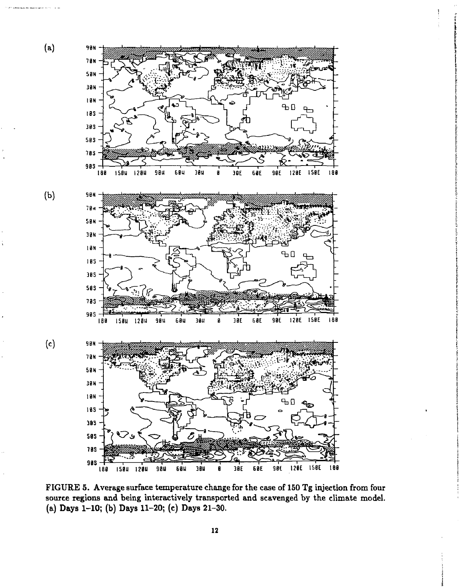

FIGURE 5. Average surface temperature change for the case of 150 Tg injection from four source regions and being interactively transported and scavenged by the climate model, (a) Days 1-10; (b) Days 11-20; (c) Days 21-30.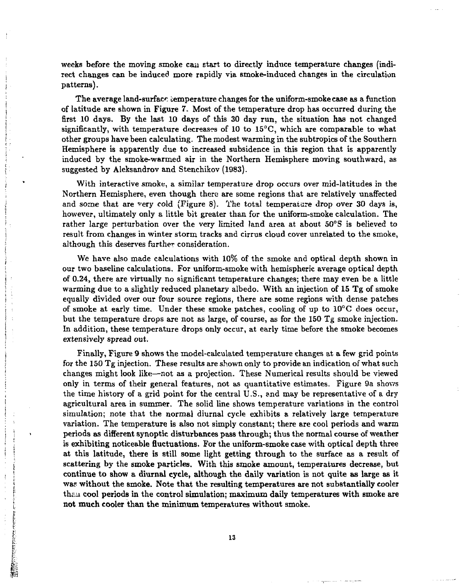weeks before the moving smoke can start to directly induce temperature changes (indirect changes can be induced more rapidly via smoke-induced changes in the circulation patterns).

The average land-surface temperature changes for the uniform-smoke case as a function of latitude are shown in Figure 7. Most of the temperature drop has occurred during the first 10 days. By the last 10 days of this 30 day run, the situation has not changed significantly, with temperature decreases of 10 to  $15^{\circ}$ C, which are comparable to what other groups have been calculating. The modest warming in the subtropics of the Southern Hemisphere is apparently due to increased subsidence in this region that is apparently induced by the smoke-warmed air in the Northern Hemisphere moving southward, as suggested by Aleksandrov and Stenchikov (1983).

With interactive smoke, a similar temperature drop occurs over mid-latitudes in the Northern Hemisphere, even though there are some regions that are relatively unaffected and some that are very cold (Figure 8). The total temperature drop over 30 days is, however, ultimately only a little bit greater than for the uniform-smoke calculation. The rather large perturbation over the very limited land area at about 50°S is believed to result from changes in winter storm tracks and cirrus cloud cover unrelated to the smoke, although this deserves further consideration.

We have also made calculations with 10% of the smoke and optical depth shown in our two baseline calculations. For uniform-smoke with hemispheric average optical depth of 0.24, there are virtually no significant temperature changes; there may even be a little warming due to a slightly reduced planetary albedo. With an injection of 15 Tg of smoke equally divided over our four source regions, there are some regions with dense patches of smoke at early time. Under these smoke patches, cooling of up to 10°C does occur, but the temperature drops are not as large, of course, as for the 150 Tg smoke injection. In addition, these temperature drops only occur, at early time before the smoke becomes extensively spread out.

Finally, Figure 9 shows the model-calculated temperature changes at a few grid points for the 150 Tg injection. These results are shown only to provide an indication of what such changes might look like—not as a projection. These Numerical results should be viewed only in terms of their general features, not as quantitative estimates. Figure 9a shows the time history of a grid point for the central U.S., and may be representative of a dry agricultural area in summer. The solid line shows temperature variations in the control simulation; note that the normal diurnal cycle exhibits a relatively large temperature variation. The temperature is also not simply constant; there are cool periods and warm periods as different synoptic disturbances pass through; thus the normal course of weather is exhibiting noticeable fluctuations. For the uniform-smoke case with optical depth three at this latitude, there is still some light getting through to the surface as a result of scattering by the smoke particles. With this smoke amount, temperatures decrease, but continue to show a diurnal cycle, although the daily variation is not quite as large as it wae without the smoke. Note that the resulting temperatures are not substantially cooler than cool periods in the control simulation; maximum daily temperatures with smoke are not much cooler than the minimum temperatures without smoke.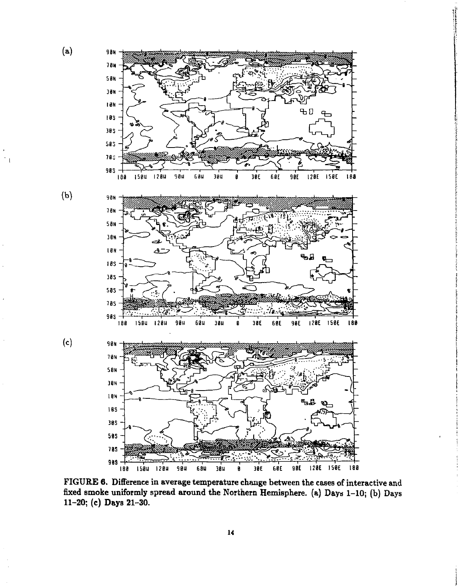

 $(b)$ 

 $(c)$ 

 $\bar{\gamma}$  )



**FIGURE 6. Difference in average temperature change between the cases of interactive and fixed smoke uniformly spread around the Northern Hemisphere, (a) Days 1-10; (b) Days 11-20; (c) Days 21-30.**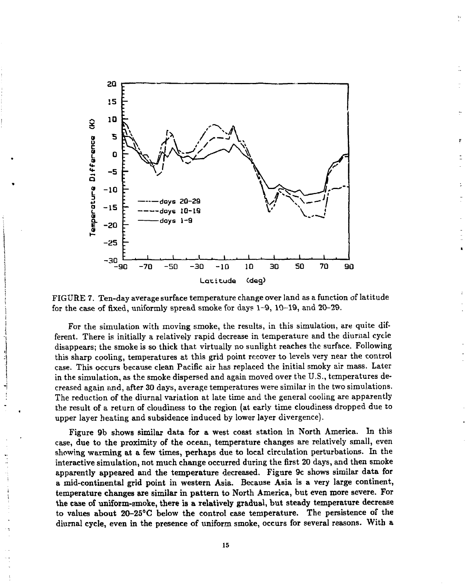

FIGURE 7. Ten-day average surface temperature change over land as a function of latitude for the case of fixed, uniformly spread smoke for days 1-9, 10-19, and 20-29.

For the simulation with moving smoke, the results, in this simulation, are quite different. There is initially a relatively rapid decrease in temperature and the diurnal cycle disappears; the smoke is so thick that virtually no sunlight reaches the surface. Following this sharp cooling, temperatures at this grid point recover to levels very near the control case. This occurs because clean Pacific air has replaced the initial smoky air mass. Later in the simulation, as the smoke dispersed and again moved over the U.S., temperatures decreased again and, after 30 days, average temperatures were similar in the two simulations. The reduction of the diurnal variation at late time and the general cooling are apparently the result of a return of cloudiness to the region (at early time cloudiness dropped due to upper layer heating **and subsidence induced** by lower **layer** divergence).

**Figure 9b shows similar data for a west coast station in North America. In this**  case, **due to the proximity of the ocean, temperature changes are relatively small, even showing warming at a few times, perhaps due** to local circulation perturbations. **In** the interactive **simulation, not much change occurred during** the first **20** days, and then smoke **apparently appeared and the temperature decreased. Figure 9c shows similar data for a mid-continental grid point in western Asia. Because Asia is a very large continent, temperature changes are similar in pattern to North America, but even more severe. For the case of uniform-smoke, there is a relatively gradual, but steady temperature decrease to values about 20-25°C below the control case temperature. The persistence of the diurnal cycle, even in the presence of uniform smoke, occurs for several reasons. With a**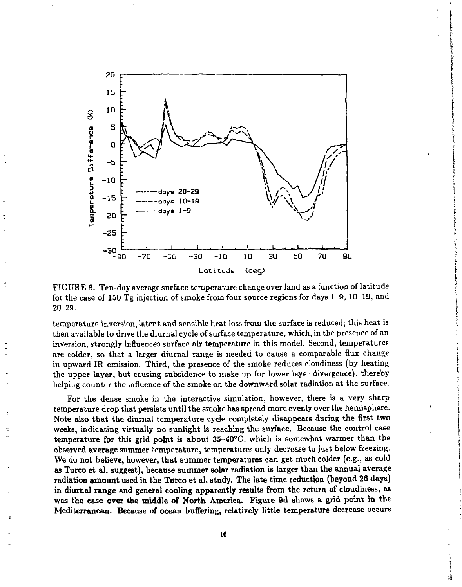

FIGURE 8. Ten-day average surface temperature change over land as a function of latitude for the case of 150 Tg injection of smoke from four source regions for days 1-9, 10-19, and 20-29.

temperature inversion, latent and sensible heat loss from the surface is reduced; this heat is then available to drive the diurnal cycle of surface temperature, which, in the presence of an inversion, strongly influences surface air temperature in this model. Second, temperatures are colder, so that a larger diurnal range is needed to cause a comparable flux change in upward IR emission. Third, the presence of the smoke reduces cloudiness (by heating the upper layer, but causing subsidence to make up for lower layer divergence), thereby helping counter the influence of the smoke on the downward solar radiation at the surface.

For the dense smoke in the interactive simulation, however, there is a very sharp temperature **drop** that persists **until the** smoke has spread **more** evenly over the hemisphere. Note **also that the diurnal temperature cycle completely disappears during the first two weeks, indicating virtually no sunlight is reaching** the **surface. Because** the **control** case **temperature for this grid point is about 35-40°C,** which is somewhat **warmer** than the **observed average summer temperature,** temperatures only decrease to just below freezing. **We do not believe, however, that summer temperatures can get much colder (e.g., as cold as Turco et al. suggest), because summer solar radiation is larger than the annual average radiation amount used in the Turco et al. study. The late time reduction (beyond 26 days) in diurnal range and general cooling apparently results from the return of cloudiness, as was the case over the middle of North America. Figure 9d shows a grid point in the Mediterranean. Because of ocean buffering, relatively little temperature decrease** occurs

å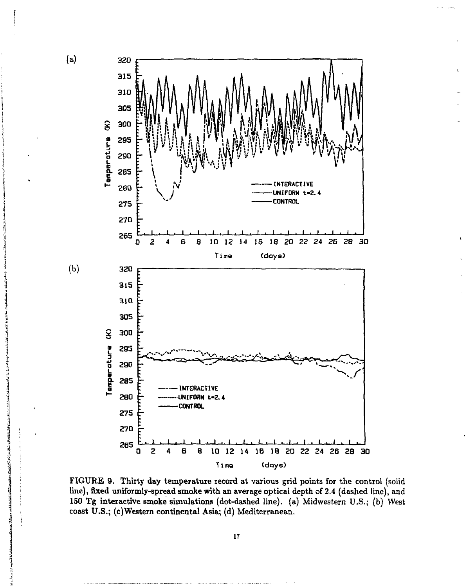

FIGURE 9. Thirty day temperature record at various grid points for the control (solid line), fixed uniformly-spread smoke with an average optical depth of 2.4 (dashed line), and 150 Tg interactive smoke simulations (dot-dashed line), (a) Midwestern U.S.; (b) West coast U.S.; (c)Western continental Asia; (d) Mediterranean.

**17**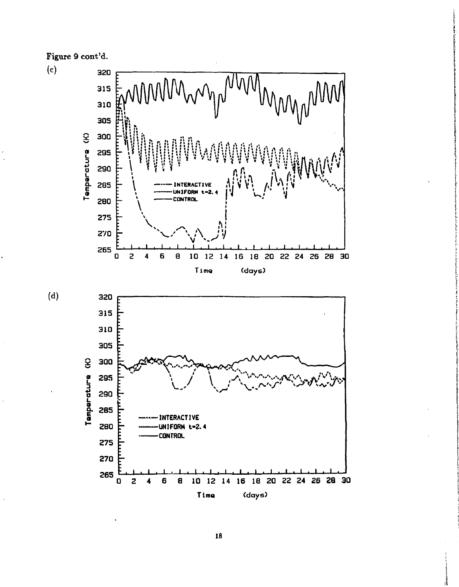Figure 9 cont'd.

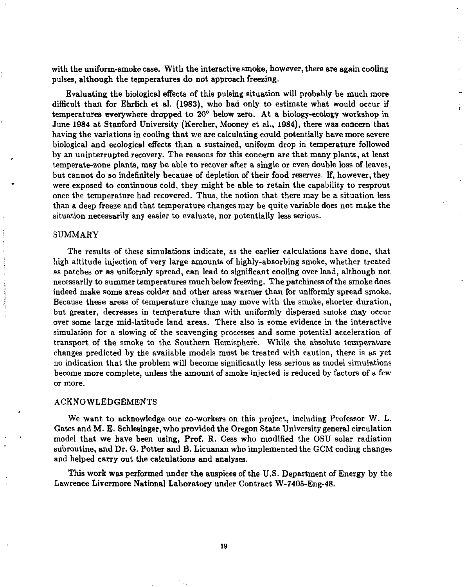with the uniform-smoke case. With the interactive smoke, however, there are again cooling pulses, although the temperatures do not approach freezing.

Evaluating the biological effects of this pulsing situation will probably be much more difficult than for Ehrlich et al. (1983), who had only to estimate what would occur if temperatures everywhere dropped to 20° below zero. At a biology-ecology workshop in June 1984 at Stanford University (Kercher, Mooney et al., 1984), there was concern that having the variations in cooling that we are calculating could potentially have more severe biological and ecological effects than a sustained, uniform drop in temperature followed by an uninterrupted recovery. The reasons for this concern are that many plants, at least temperate-zone plants, may be able to recover after a single or even double loss of leaves, but cannot do so indefinitely because of depletion of their food reserves. If, however, they were exposed to continuous cold, they might be able to retain the capability to resprout once the temperature had recovered. Thus, the notion that there may be a situation less than a deep freeze and that temperature changes may be quite variable does not make the situation necessarily any easier to evaluate, nor potentially less serious.

#### SUMMARY

The results of these simulations indicate, as the earlier calculations have done, that high altitude injection of very large amounts of highly-absorbing smoke, whether treated as patches or as uniformly spread, can lead to significant cooling over land, although not necessarily to summer temperatures much below freezing. The patchiness of the smoke does indeed make some areas colder and other areas warmer than for uniformly spread smoke. Because these areas of temperature change may move with the smoke, shorter duration, but greater, decreases in temperature than with uniformly dispersed smoke may occur over some large mid-latitude land areas. There also is some evidence in the interactive simulation for a slowing of the scavenging processes and some potential acceleration of transport of the smoke to the Southern Hemisphere. While the absolute temperature changes predicted by the available models must be treated with caution, there is as yet no indication that the problem will become significantly less serious as model simulations become more complete, unless the amount of smoke injected is reduced by factors of a few or more.

#### ACKNOWLEDGEMENTS

We want to acknowledge our co-workers on this project, including Professor W. L. Gates and M. E. Schlesinger, who provided the Oregon State University general circulation model that we have been using, Prof. R. Cess who modified the OSU solar radiation subroutine, and Dr. G. Potter and B. Licuanan who implemented the GCM coding changes and helped carry out the calculations and analyses.

This work was performed under the auspices of the U.S. Department of Energy by the Lawrence Livermore National Laboratory under Contract W-7405-Eng-48.